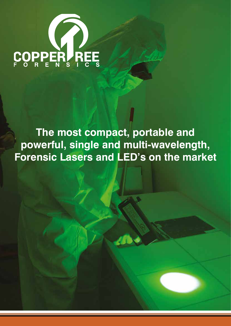

## **The most compact, portable and powerful, single and multi-wavelength, Forensic Lasers and LED's on the market**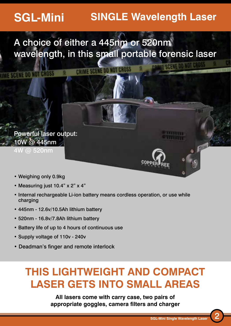#### **SGL-Mini SINGLE Wavelength Laser**

A choice of either a 445nm or 520nm wavelength, in this small portable forensic laser

CRIME SCENE DO NOT CROSS

#### Powerful laser output: 10W @ 445nm

4W @ 520nm

**SCENE DO NOT CROSS** 

- Weighing only 0.9kg
- Measuring just 10.4" x 2" x 4"
- Internal rechargeable Li-ion battery means cordless operation, or use while charging
- 445nm 12.6v/10.5Ah lithium battery
- 520nm 16.8v/7.8Ah lithium battery
- Battery life of up to 4 hours of continuous use
- Supply voltage of 110v 240v
- Deadman's finger and remote interlock

## **THIS LIGHTWEIGHT AND COMPACT LASER GETS INTO SMALL AREAS**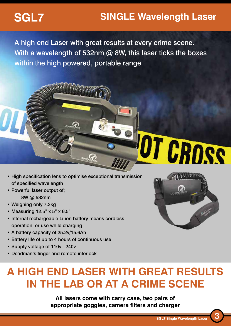#### **SINGLE Wavelength Laser**

A high end Laser with great results at every crime scene. With a wavelength of 532nm  $@$  8W, this laser ticks the boxes within the high powered, portable range

#### • High specification lens to optimise exceptional transmission of specified wavelength

- Powerful laser output of; 8W @ 532nm
- Weighing only 7.3kg

**SGL7**

- Measuring 12.5" x 5" x 6.5"
- Internal rechargeable Li-ion battery means cordless operation, or use while charging
- A battery capacity of 25.2v/15.6Ah
- Battery life of up to 4 hours of continuous use
- Supply voltage of 110v 240v
- Deadman's finger and remote interlock



OT CROSS

## **A HIGH END LASER WITH GREAT RESULTS IN THE LAB OR AT A CRIME SCENE**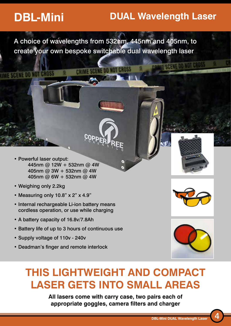## **DBL-Mini**

**UME SCENE DO NOT CROSS** 

## **DUAL Wavelength Laser**

A choice of wavelengths from 532nm, 445nm and 405nm, to create your own bespoke switchable dual wavelength laser

CRIME SCENE DO NOT CROSS

- Powerful laser output: 445nm @ 12W + 532nm @ 4W 405nm @ 3W + 532nm @ 4W 405nm @ 6W + 532nm @ 4W
- Weighing only 2.2kg
- Measuring only 10.8" x 2" x 4.9"
- Internal rechargeable Li-ion battery means cordless operation, or use while charging
- A battery capacity of 16.8v/7.8Ah
- Battery life of up to 3 hours of continuous use
- Supply voltage of 110v 240v
- Deadman's finger and remote interlock



## **THIS LIGHTWEIGHT AND COMPACT LASER GETS INTO SMALL AREAS**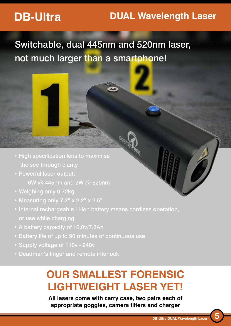## **DB-Ultra**

#### **DUAL Wavelength Laser**

Switchable, dual 445nm and 520nm laser, not much larger than a smartphone!

- High specification lens to maximise the see through clarity
- Powerful laser output: 6W @ 445nm and 2W @ 520nm
- Weighing only 0.72kg
- Measuring only 7.2" x 2.2" x 2.5"
- Internal rechargeable Li-ion battery means cordless operation, or use while charging
- A battery capacity of 16.8v/7.8Ah
- Battery life of up to 90 minutes of continuous use
- Supply voltage of 110v 240v
- Deadman's finger and remote interlock

## **OUR SMALLEST FORENSIC LIGHTWEIGHT LASER YET!**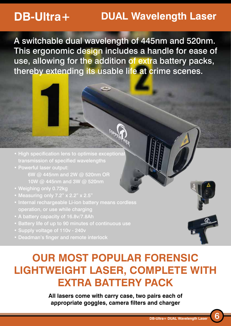## **DB-Ultra+**

## **DUAL Wavelength Laser**

A switchable dual wavelength of 445nm and 520nm. This ergonomic design includes a handle for ease of use, allowing for the addition of extra battery packs, thereby extending its usable life at crime scenes.

- High specification lens to optimise exceptional transmission of specified wavelengths
- Powerful laser output: 6W @ 445nm and 2W @ 520nm OR 10W @ 445nm and 3W @ 520nm
- Weighing only 0.72kg
- Measuring only 7.2" x 2.2" x 2.5"
- Internal rechargeable Li-ion battery means cordless operation, or use while charging
- A battery capacity of 16.8v/7.8Ah
- Battery life of up to 90 minutes of continuous use
- Supply voltage of 110v 240v
- Deadman's finger and remote interlock

## **OUR MOST POPULAR FORENSIC LIGHTWEIGHT LASER, COMPLETE WITH EXTRA BATTERY PACK**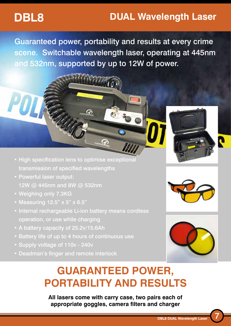#### **DUAL Wavelength Laser**

**DBL8**

Guaranteed power, portability and results at every crime scene. Switchable wavelength laser, operating at 445nm and 532nm, supported by up to 12W of power.

- High specification lens to optimise exceptional transmission of specified wavelengths
- Powerful laser output: 12W @ 445nm and 8W @ 532nm
- Weighing only 7.3KG
- Measuring 12.5" x 5" x 6.5"
- Internal rechargeable Li-ion battery means cordless operation, or use while charging
- A battery capacity of 25.2v/15.6Ah
- Battery life of up to 4 hours of continuous use
- Supply voltage of 110v 240v
- Deadman's finger and remote interlock

## **GUARANTEED POWER, PORTABILITY AND RESULTS**





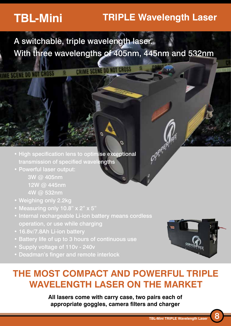# **TBL-Mini**

**HIME SCENE DO NOT CROSS** 

### **TRIPLE Wavelength Laser**

Copper of

A switchable, triple wavelength laser. With three wavelengths of 405nm, 445nm and 532nm

CRIME SCENE DO NOT CROSS

- High specification lens to optimise exceptional transmission of specified wavelengths
- Powerful laser output: 3W @ 405nm 12W @ 445nm 4W @ 532nm
- Weighing only 2.2kg
- Measuring only 10.8" x 2" x 5"
- Internal rechargeable Li-ion battery means cordless operation, or use while charging
- 16.8v/7.8Ah Li-ion battery
- Battery life of up to 3 hours of continuous use
- Supply voltage of 110v 240v
- Deadman's finger and remote interlock



### **THE MOST COMPACT AND POWERFUL TRIPLE WAVELENGTH LASER ON THE MARKET**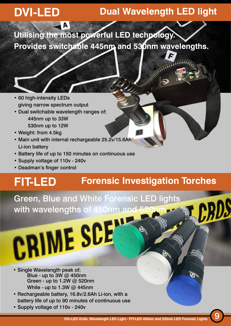# **DVI-LED**

#### **Dual Wavelength LED light**

**Utilising the most powerful LED technology. Provides switchable 445nm and 530nm wavelengths.**

- 60 high-intensity LEDs giving narrow spectrum output
- Dual switchable wavelength ranges of; 445nm up to 33W 530nm up to 12W
- Weight: from 4.5kg
- Main unit with internal rechargeable 25.2v/15.6Ah Li-ion battery
- Battery life of up to 150 minutes on continuous use
- Supply voltage of 110v 240v
- Deadman's finger control

#### **Forensic Investigation Torches FIT-LED**

Green, Blue and White Forensic LED lights with wavelengths of 450nm and 520

• Single Wavelength peak of; Blue - up to  $3W$  @ 450nm Green - up to 1.2W @ 520nm White - up to 1.3W  $@$  445nm

**CRIME SCE** 

- Rechargeable battery, 16.8v/2.6Ah Li-ion, with a battery life of up to 90 minutes of continuous use
- Supply voltage of 110v 240v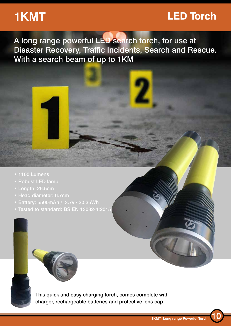## **1KMT**

## **LED Torch**

A long range powerful LED search torch, for use at Disaster Recovery, Traffic Incidents, Search and Rescue. With a search beam of up to 1KM

- 1100 Lumens
- Robust LED lamp
- Length: 26.5cm
- Head diameter: 6.7cm
- Battery: 5500mAh / 3.7v / 20.35Wh
- Tested to standard: BS EN 13032-4:2015

This quick and easy charging torch, comes complete with charger, rechargeable batteries and protective lens cap.